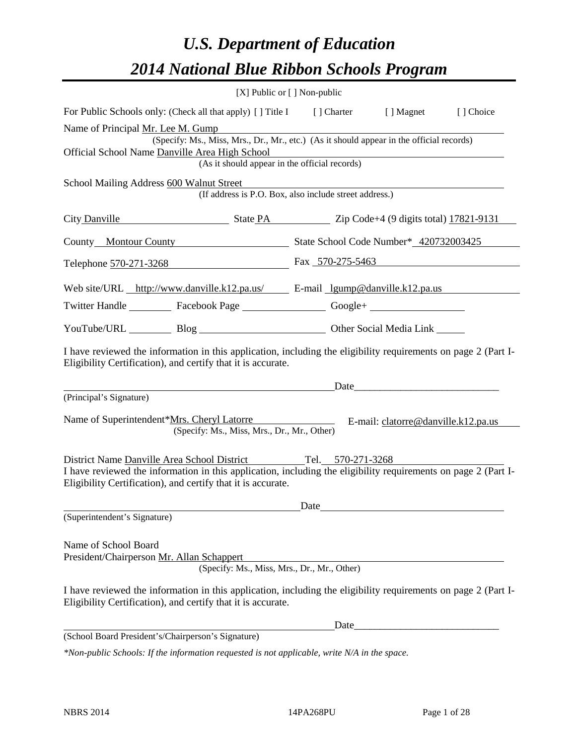# *U.S. Department of Education 2014 National Blue Ribbon Schools Program*

|                                                                                                                                                                                | $[X]$ Public or $[ \ ]$ Non-public                                                       |      |                                     |           |
|--------------------------------------------------------------------------------------------------------------------------------------------------------------------------------|------------------------------------------------------------------------------------------|------|-------------------------------------|-----------|
| For Public Schools only: (Check all that apply) [ ] Title I [ ] Charter [ ] Magnet                                                                                             |                                                                                          |      |                                     | [] Choice |
| Name of Principal <u>Mr. Lee M. Gump</u>                                                                                                                                       |                                                                                          |      |                                     |           |
|                                                                                                                                                                                | (Specify: Ms., Miss, Mrs., Dr., Mr., etc.) (As it should appear in the official records) |      |                                     |           |
| Official School Name Danville Area High School                                                                                                                                 | (As it should appear in the official records)                                            |      |                                     |           |
|                                                                                                                                                                                |                                                                                          |      |                                     |           |
| School Mailing Address 600 Walnut Street                                                                                                                                       | (If address is P.O. Box, also include street address.)                                   |      |                                     |           |
| City Danville State PA Zip Code+4 (9 digits total) 17821-9131                                                                                                                  |                                                                                          |      |                                     |           |
| County Montour County State School Code Number* 420732003425                                                                                                                   |                                                                                          |      |                                     |           |
| Telephone 570-271-3268 Fax 570-275-5463                                                                                                                                        |                                                                                          |      |                                     |           |
| Web site/URL http://www.danville.k12.pa.us/ E-mail lgump@danville.k12.pa.us                                                                                                    |                                                                                          |      |                                     |           |
| Twitter Handle ___________ Facebook Page ____________________ Google+ __________                                                                                               |                                                                                          |      |                                     |           |
| YouTube/URL Blog Blog Cher Social Media Link                                                                                                                                   |                                                                                          |      |                                     |           |
| I have reviewed the information in this application, including the eligibility requirements on page 2 (Part I-<br>Eligibility Certification), and certify that it is accurate. |                                                                                          |      |                                     |           |
|                                                                                                                                                                                |                                                                                          |      |                                     |           |
| (Principal's Signature)                                                                                                                                                        |                                                                                          |      |                                     |           |
| Name of Superintendent*Mrs. Cheryl Latorre                                                                                                                                     | (Specify: Ms., Miss, Mrs., Dr., Mr., Other)                                              |      | E-mail: clatorre@danville.k12.pa.us |           |
| District Name Danville Area School District Tel. 570-271-3268                                                                                                                  |                                                                                          |      |                                     |           |
| I have reviewed the information in this application, including the eligibility requirements on page 2 (Part I-<br>Eligibility Certification), and certify that it is accurate. |                                                                                          |      |                                     |           |
|                                                                                                                                                                                |                                                                                          | Date |                                     |           |
| (Superintendent's Signature)                                                                                                                                                   |                                                                                          |      |                                     |           |
| Name of School Board<br>President/Chairperson Mr. Allan Schappert                                                                                                              | (Specify: Ms., Miss, Mrs., Dr., Mr., Other)                                              |      |                                     |           |
| I have reviewed the information in this application, including the eligibility requirements on page 2 (Part I-<br>Eligibility Certification), and certify that it is accurate. |                                                                                          |      |                                     |           |
|                                                                                                                                                                                |                                                                                          |      | Date                                |           |
| (School Board President's/Chairperson's Signature)                                                                                                                             |                                                                                          |      |                                     |           |

*\*Non-public Schools: If the information requested is not applicable, write N/A in the space.*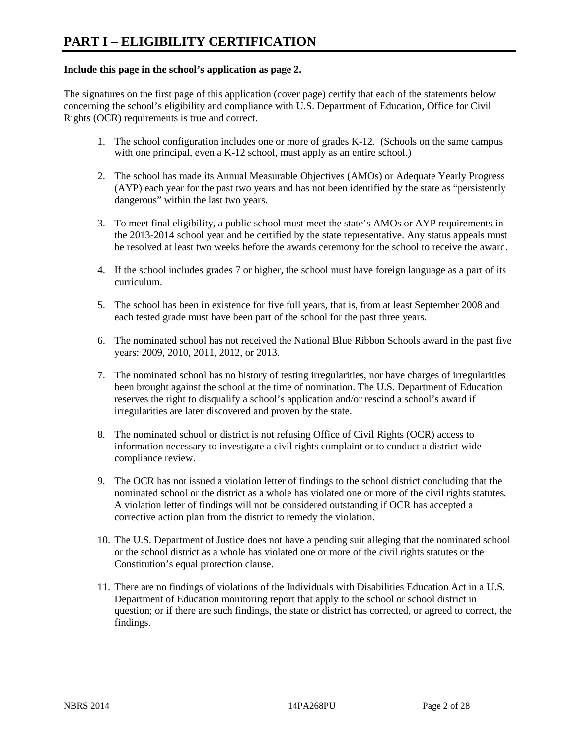#### **Include this page in the school's application as page 2.**

The signatures on the first page of this application (cover page) certify that each of the statements below concerning the school's eligibility and compliance with U.S. Department of Education, Office for Civil Rights (OCR) requirements is true and correct.

- 1. The school configuration includes one or more of grades K-12. (Schools on the same campus with one principal, even a K-12 school, must apply as an entire school.)
- 2. The school has made its Annual Measurable Objectives (AMOs) or Adequate Yearly Progress (AYP) each year for the past two years and has not been identified by the state as "persistently dangerous" within the last two years.
- 3. To meet final eligibility, a public school must meet the state's AMOs or AYP requirements in the 2013-2014 school year and be certified by the state representative. Any status appeals must be resolved at least two weeks before the awards ceremony for the school to receive the award.
- 4. If the school includes grades 7 or higher, the school must have foreign language as a part of its curriculum.
- 5. The school has been in existence for five full years, that is, from at least September 2008 and each tested grade must have been part of the school for the past three years.
- 6. The nominated school has not received the National Blue Ribbon Schools award in the past five years: 2009, 2010, 2011, 2012, or 2013.
- 7. The nominated school has no history of testing irregularities, nor have charges of irregularities been brought against the school at the time of nomination. The U.S. Department of Education reserves the right to disqualify a school's application and/or rescind a school's award if irregularities are later discovered and proven by the state.
- 8. The nominated school or district is not refusing Office of Civil Rights (OCR) access to information necessary to investigate a civil rights complaint or to conduct a district-wide compliance review.
- 9. The OCR has not issued a violation letter of findings to the school district concluding that the nominated school or the district as a whole has violated one or more of the civil rights statutes. A violation letter of findings will not be considered outstanding if OCR has accepted a corrective action plan from the district to remedy the violation.
- 10. The U.S. Department of Justice does not have a pending suit alleging that the nominated school or the school district as a whole has violated one or more of the civil rights statutes or the Constitution's equal protection clause.
- 11. There are no findings of violations of the Individuals with Disabilities Education Act in a U.S. Department of Education monitoring report that apply to the school or school district in question; or if there are such findings, the state or district has corrected, or agreed to correct, the findings.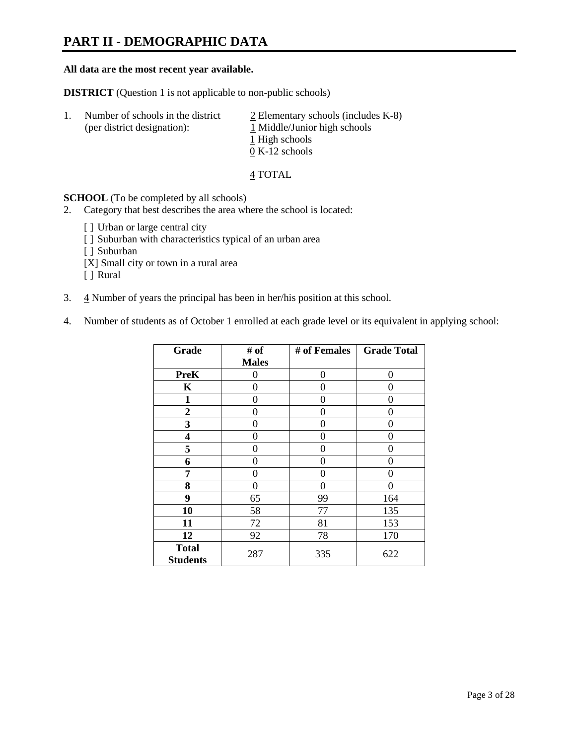## **PART II - DEMOGRAPHIC DATA**

#### **All data are the most recent year available.**

**DISTRICT** (Question 1 is not applicable to non-public schools)

| -1. | Number of schools in the district<br>(per district designation): | $2$ Elementary schools (includes K-8)<br>1 Middle/Junior high schools<br>1 High schools |
|-----|------------------------------------------------------------------|-----------------------------------------------------------------------------------------|
|     |                                                                  | $0 K-12$ schools                                                                        |

4 TOTAL

**SCHOOL** (To be completed by all schools)

- 2. Category that best describes the area where the school is located:
	- [] Urban or large central city
	- [ ] Suburban with characteristics typical of an urban area
	- [ ] Suburban
	- [X] Small city or town in a rural area
	- [ ] Rural
- 3.  $\frac{4}{3}$  Number of years the principal has been in her/his position at this school.
- 4. Number of students as of October 1 enrolled at each grade level or its equivalent in applying school:

| Grade                           | # of         | # of Females | <b>Grade Total</b> |
|---------------------------------|--------------|--------------|--------------------|
|                                 | <b>Males</b> |              |                    |
| <b>PreK</b>                     | 0            | $\Omega$     | 0                  |
| K                               | 0            | 0            | 0                  |
| $\mathbf{1}$                    | 0            | 0            | 0                  |
| $\overline{2}$                  | 0            | 0            | 0                  |
| 3                               | 0            | 0            | 0                  |
| 4                               | 0            | 0            | 0                  |
| 5                               | 0            | 0            | 0                  |
| 6                               | 0            | 0            | 0                  |
| 7                               | 0            | 0            | 0                  |
| 8                               | 0            | 0            | 0                  |
| 9                               | 65           | 99           | 164                |
| 10                              | 58           | 77           | 135                |
| 11                              | 72           | 81           | 153                |
| 12                              | 92           | 78           | 170                |
| <b>Total</b><br><b>Students</b> | 287          | 335          | 622                |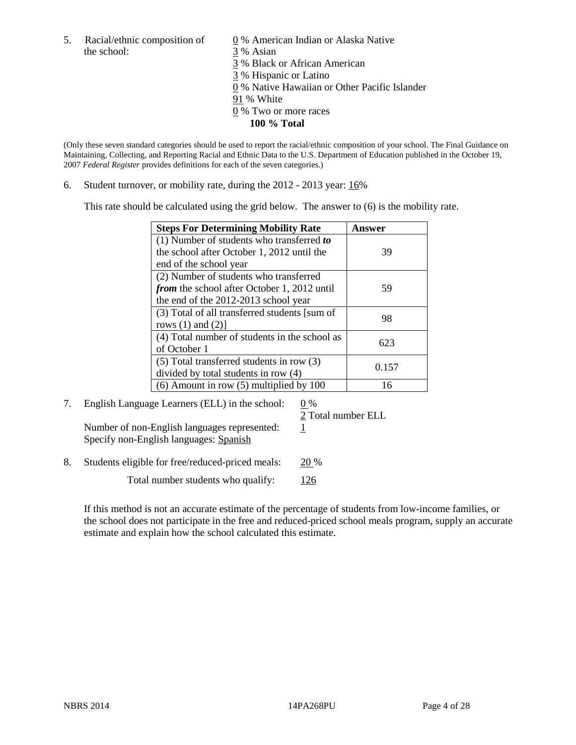5. Racial/ethnic composition of  $\qquad \qquad \underline{0}$  % American Indian or Alaska Native the school: 3 % Asian

3 % Black or African American 3 % Hispanic or Latino

0 % Native Hawaiian or Other Pacific Islander

- 91 % White
- 0 % Two or more races
	- **100 % Total**

(Only these seven standard categories should be used to report the racial/ethnic composition of your school. The Final Guidance on Maintaining, Collecting, and Reporting Racial and Ethnic Data to the U.S. Department of Education published in the October 19, 2007 *Federal Register* provides definitions for each of the seven categories.)

6. Student turnover, or mobility rate, during the 2012 - 2013 year: 16%

This rate should be calculated using the grid below. The answer to (6) is the mobility rate.

| <b>Steps For Determining Mobility Rate</b>         | Answer |
|----------------------------------------------------|--------|
| (1) Number of students who transferred to          |        |
| the school after October 1, 2012 until the         | 39     |
| end of the school year                             |        |
| (2) Number of students who transferred             |        |
| <i>from</i> the school after October 1, 2012 until | 59     |
| the end of the 2012-2013 school year               |        |
| (3) Total of all transferred students [sum of      | 98     |
| rows $(1)$ and $(2)$ ]                             |        |
| (4) Total number of students in the school as      | 623    |
| of October 1                                       |        |
| $(5)$ Total transferred students in row $(3)$      | 0.157  |
| divided by total students in row (4)               |        |
| $(6)$ Amount in row $(5)$ multiplied by 100        | 16     |

7. English Language Learners (ELL) in the school:  $0\%$ 

Number of non-English languages represented:  $1$ Specify non-English languages: Spanish

2 Total number ELL

8. Students eligible for free/reduced-priced meals: 20 %

Total number students who qualify: 126

If this method is not an accurate estimate of the percentage of students from low-income families, or the school does not participate in the free and reduced-priced school meals program, supply an accurate estimate and explain how the school calculated this estimate.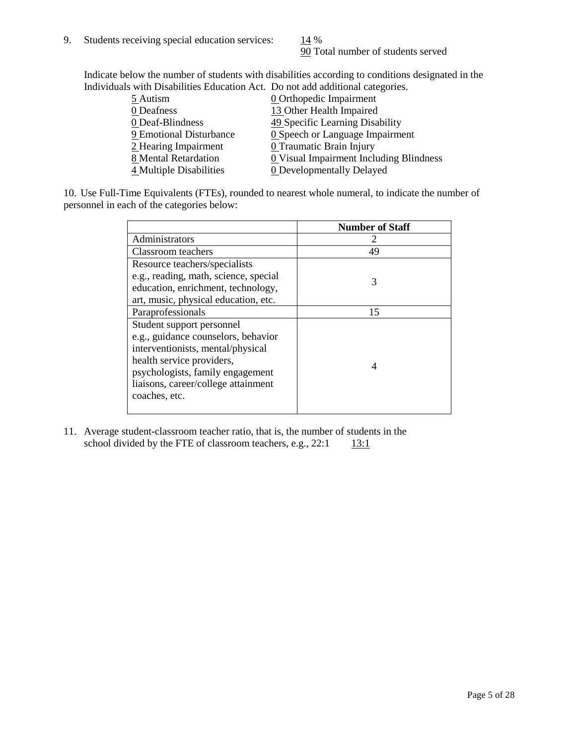90 Total number of students served

Indicate below the number of students with disabilities according to conditions designated in the Individuals with Disabilities Education Act. Do not add additional categories.

|                         | "The Drowomnos Budgetton I fee. Do not due authorite categories" |
|-------------------------|------------------------------------------------------------------|
| 5 Autism                | <b>0</b> Orthopedic Impairment                                   |
| 0 Deafness              | 13 Other Health Impaired                                         |
| 0 Deaf-Blindness        | 49 Specific Learning Disability                                  |
| 9 Emotional Disturbance | 0 Speech or Language Impairment                                  |
| 2 Hearing Impairment    | 0 Traumatic Brain Injury                                         |
| 8 Mental Retardation    | <b>0</b> Visual Impairment Including Blindness                   |
| 4 Multiple Disabilities | <b>0</b> Developmentally Delayed                                 |
|                         |                                                                  |

10. Use Full-Time Equivalents (FTEs), rounded to nearest whole numeral, to indicate the number of personnel in each of the categories below:

|                                       | <b>Number of Staff</b> |
|---------------------------------------|------------------------|
| Administrators                        |                        |
| Classroom teachers                    | 49                     |
| Resource teachers/specialists         |                        |
| e.g., reading, math, science, special | 3                      |
| education, enrichment, technology,    |                        |
| art, music, physical education, etc.  |                        |
| Paraprofessionals                     | 15                     |
| Student support personnel             |                        |
| e.g., guidance counselors, behavior   |                        |
| interventionists, mental/physical     |                        |
| health service providers,             | 4                      |
| psychologists, family engagement      |                        |
| liaisons, career/college attainment   |                        |
| coaches, etc.                         |                        |
|                                       |                        |

11. Average student-classroom teacher ratio, that is, the number of students in the school divided by the FTE of classroom teachers, e.g.,  $22:1$  13:1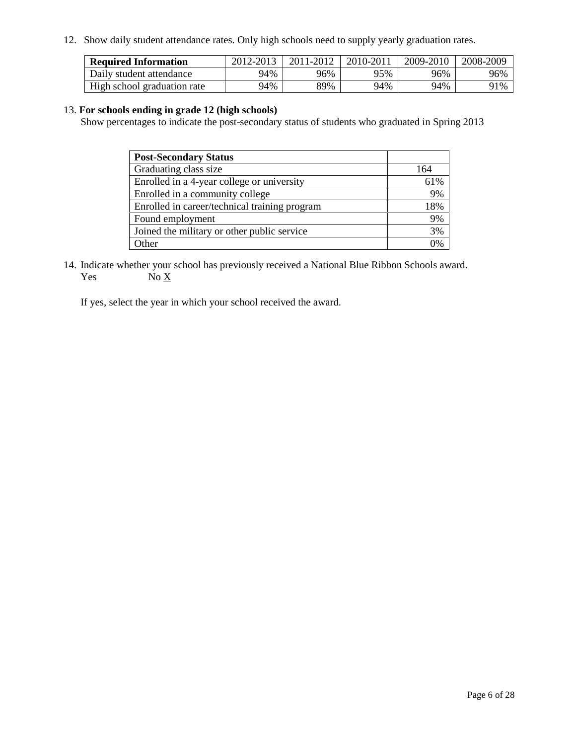12. Show daily student attendance rates. Only high schools need to supply yearly graduation rates.

| <b>Required Information</b> | 2012-2013 | 2011-2012 | 2010-2011 | 2009-2010 | 2008-2009 |
|-----------------------------|-----------|-----------|-----------|-----------|-----------|
| Daily student attendance    | 94%       | 96%       | 95%       | 96%       | 96%       |
| High school graduation rate | 94%       | 89%       | 94%       | 94%       | 91%       |

#### 13. **For schools ending in grade 12 (high schools)**

Show percentages to indicate the post-secondary status of students who graduated in Spring 2013

| <b>Post-Secondary Status</b>                  |     |
|-----------------------------------------------|-----|
| Graduating class size                         | 164 |
| Enrolled in a 4-year college or university    | 61% |
| Enrolled in a community college               | 9%  |
| Enrolled in career/technical training program | 18% |
| Found employment                              | 9%  |
| Joined the military or other public service   | 3%  |
| <b>Other</b>                                  | 0%  |

14. Indicate whether your school has previously received a National Blue Ribbon Schools award. Yes  $No X$ 

If yes, select the year in which your school received the award.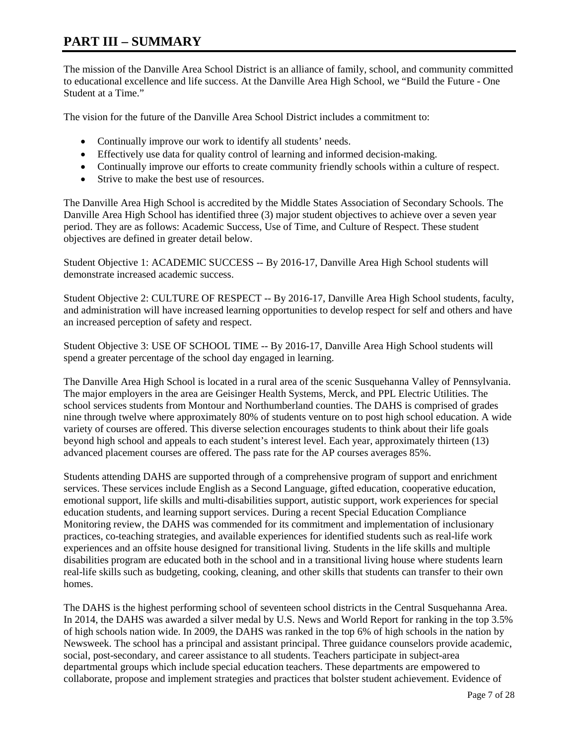## **PART III – SUMMARY**

The mission of the Danville Area School District is an alliance of family, school, and community committed to educational excellence and life success. At the Danville Area High School, we "Build the Future - One Student at a Time."

The vision for the future of the Danville Area School District includes a commitment to:

- Continually improve our work to identify all students' needs.
- Effectively use data for quality control of learning and informed decision-making.
- Continually improve our efforts to create community friendly schools within a culture of respect.
- Strive to make the best use of resources.

The Danville Area High School is accredited by the Middle States Association of Secondary Schools. The Danville Area High School has identified three (3) major student objectives to achieve over a seven year period. They are as follows: Academic Success, Use of Time, and Culture of Respect. These student objectives are defined in greater detail below.

Student Objective 1: ACADEMIC SUCCESS -- By 2016-17, Danville Area High School students will demonstrate increased academic success.

Student Objective 2: CULTURE OF RESPECT -- By 2016-17, Danville Area High School students, faculty, and administration will have increased learning opportunities to develop respect for self and others and have an increased perception of safety and respect.

Student Objective 3: USE OF SCHOOL TIME -- By 2016-17, Danville Area High School students will spend a greater percentage of the school day engaged in learning.

The Danville Area High School is located in a rural area of the scenic Susquehanna Valley of Pennsylvania. The major employers in the area are Geisinger Health Systems, Merck, and PPL Electric Utilities. The school services students from Montour and Northumberland counties. The DAHS is comprised of grades nine through twelve where approximately 80% of students venture on to post high school education. A wide variety of courses are offered. This diverse selection encourages students to think about their life goals beyond high school and appeals to each student's interest level. Each year, approximately thirteen (13) advanced placement courses are offered. The pass rate for the AP courses averages 85%.

Students attending DAHS are supported through of a comprehensive program of support and enrichment services. These services include English as a Second Language, gifted education, cooperative education, emotional support, life skills and multi-disabilities support, autistic support, work experiences for special education students, and learning support services. During a recent Special Education Compliance Monitoring review, the DAHS was commended for its commitment and implementation of inclusionary practices, co-teaching strategies, and available experiences for identified students such as real-life work experiences and an offsite house designed for transitional living. Students in the life skills and multiple disabilities program are educated both in the school and in a transitional living house where students learn real-life skills such as budgeting, cooking, cleaning, and other skills that students can transfer to their own homes.

The DAHS is the highest performing school of seventeen school districts in the Central Susquehanna Area. In 2014, the DAHS was awarded a silver medal by U.S. News and World Report for ranking in the top 3.5% of high schools nation wide. In 2009, the DAHS was ranked in the top 6% of high schools in the nation by Newsweek. The school has a principal and assistant principal. Three guidance counselors provide academic, social, post-secondary, and career assistance to all students. Teachers participate in subject-area departmental groups which include special education teachers. These departments are empowered to collaborate, propose and implement strategies and practices that bolster student achievement. Evidence of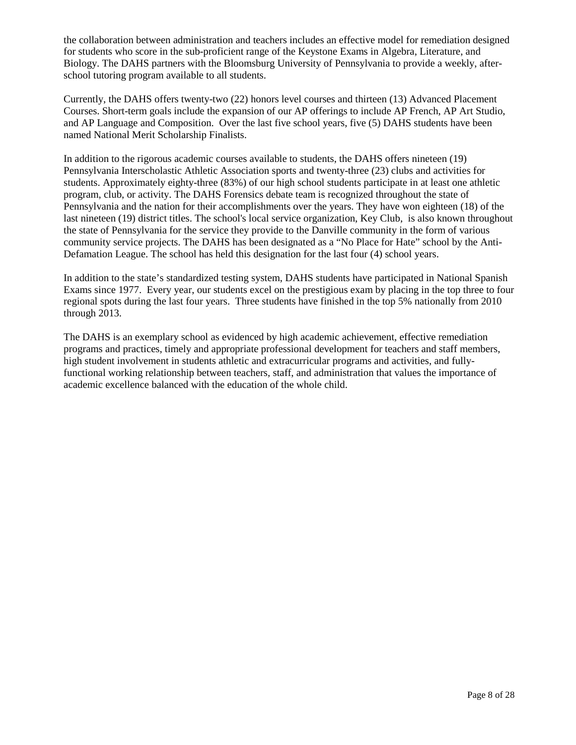the collaboration between administration and teachers includes an effective model for remediation designed for students who score in the sub-proficient range of the Keystone Exams in Algebra, Literature, and Biology. The DAHS partners with the Bloomsburg University of Pennsylvania to provide a weekly, afterschool tutoring program available to all students.

Currently, the DAHS offers twenty-two (22) honors level courses and thirteen (13) Advanced Placement Courses. Short-term goals include the expansion of our AP offerings to include AP French, AP Art Studio, and AP Language and Composition. Over the last five school years, five (5) DAHS students have been named National Merit Scholarship Finalists.

In addition to the rigorous academic courses available to students, the DAHS offers nineteen (19) Pennsylvania Interscholastic Athletic Association sports and twenty-three (23) clubs and activities for students. Approximately eighty-three (83%) of our high school students participate in at least one athletic program, club, or activity. The DAHS Forensics debate team is recognized throughout the state of Pennsylvania and the nation for their accomplishments over the years. They have won eighteen (18) of the last nineteen (19) district titles. The school's local service organization, Key Club, is also known throughout the state of Pennsylvania for the service they provide to the Danville community in the form of various community service projects. The DAHS has been designated as a "No Place for Hate" school by the Anti-Defamation League. The school has held this designation for the last four (4) school years.

In addition to the state's standardized testing system, DAHS students have participated in National Spanish Exams since 1977. Every year, our students excel on the prestigious exam by placing in the top three to four regional spots during the last four years. Three students have finished in the top 5% nationally from 2010 through 2013.

The DAHS is an exemplary school as evidenced by high academic achievement, effective remediation programs and practices, timely and appropriate professional development for teachers and staff members, high student involvement in students athletic and extracurricular programs and activities, and fullyfunctional working relationship between teachers, staff, and administration that values the importance of academic excellence balanced with the education of the whole child.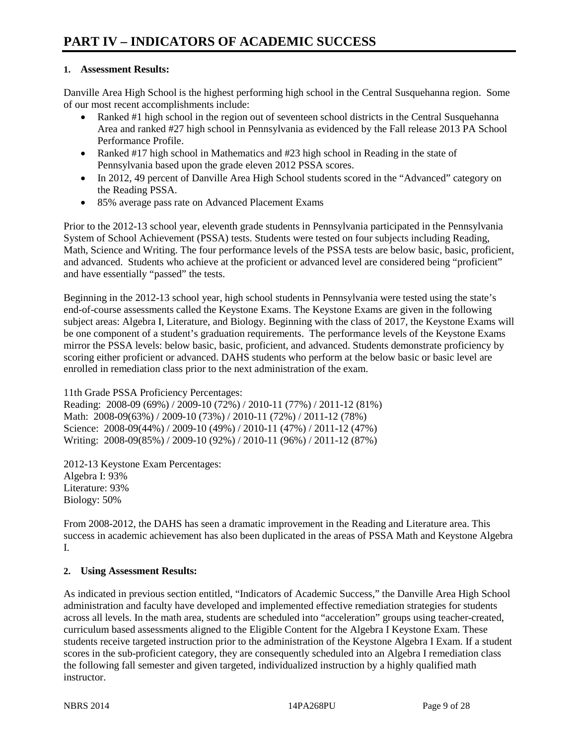#### **1. Assessment Results:**

Danville Area High School is the highest performing high school in the Central Susquehanna region. Some of our most recent accomplishments include:

- Ranked #1 high school in the region out of seventeen school districts in the Central Susquehanna Area and ranked #27 high school in Pennsylvania as evidenced by the Fall release 2013 PA School Performance Profile.
- Ranked #17 high school in Mathematics and #23 high school in Reading in the state of Pennsylvania based upon the grade eleven 2012 PSSA scores.
- In 2012, 49 percent of Danville Area High School students scored in the "Advanced" category on the Reading PSSA.
- 85% average pass rate on Advanced Placement Exams

Prior to the 2012-13 school year, eleventh grade students in Pennsylvania participated in the Pennsylvania System of School Achievement (PSSA) tests. Students were tested on four subjects including Reading, Math, Science and Writing. The four performance levels of the PSSA tests are below basic, basic, proficient, and advanced. Students who achieve at the proficient or advanced level are considered being "proficient" and have essentially "passed" the tests.

Beginning in the 2012-13 school year, high school students in Pennsylvania were tested using the state's end-of-course assessments called the Keystone Exams. The Keystone Exams are given in the following subject areas: Algebra I, Literature, and Biology. Beginning with the class of 2017, the Keystone Exams will be one component of a student's graduation requirements. The performance levels of the Keystone Exams mirror the PSSA levels: below basic, basic, proficient, and advanced. Students demonstrate proficiency by scoring either proficient or advanced. DAHS students who perform at the below basic or basic level are enrolled in remediation class prior to the next administration of the exam.

11th Grade PSSA Proficiency Percentages:

Reading: 2008-09 (69%) / 2009-10 (72%) / 2010-11 (77%) / 2011-12 (81%) Math: 2008-09(63%) / 2009-10 (73%) / 2010-11 (72%) / 2011-12 (78%) Science: 2008-09(44%) / 2009-10 (49%) / 2010-11 (47%) / 2011-12 (47%) Writing: 2008-09(85%) / 2009-10 (92%) / 2010-11 (96%) / 2011-12 (87%)

2012-13 Keystone Exam Percentages: Algebra I: 93% Literature: 93% Biology: 50%

From 2008-2012, the DAHS has seen a dramatic improvement in the Reading and Literature area. This success in academic achievement has also been duplicated in the areas of PSSA Math and Keystone Algebra I.

### **2. Using Assessment Results:**

As indicated in previous section entitled, "Indicators of Academic Success," the Danville Area High School administration and faculty have developed and implemented effective remediation strategies for students across all levels. In the math area, students are scheduled into "acceleration" groups using teacher-created, curriculum based assessments aligned to the Eligible Content for the Algebra I Keystone Exam. These students receive targeted instruction prior to the administration of the Keystone Algebra I Exam. If a student scores in the sub-proficient category, they are consequently scheduled into an Algebra I remediation class the following fall semester and given targeted, individualized instruction by a highly qualified math instructor.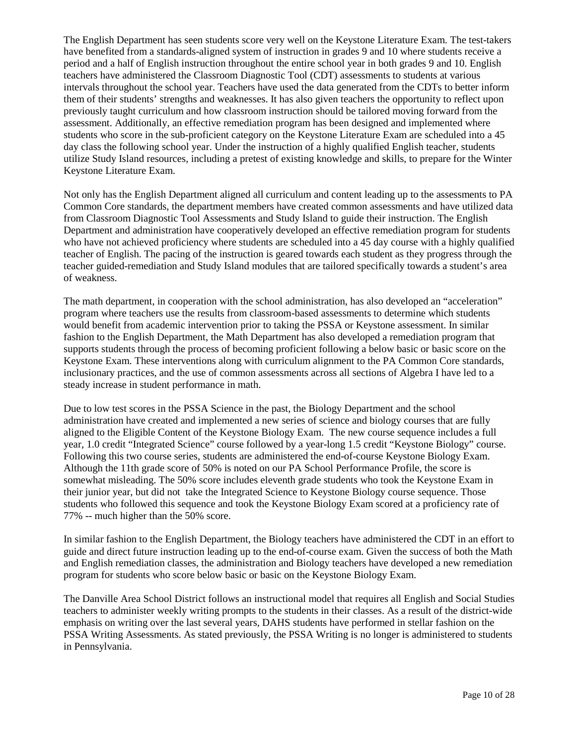The English Department has seen students score very well on the Keystone Literature Exam. The test-takers have benefited from a standards-aligned system of instruction in grades 9 and 10 where students receive a period and a half of English instruction throughout the entire school year in both grades 9 and 10. English teachers have administered the Classroom Diagnostic Tool (CDT) assessments to students at various intervals throughout the school year. Teachers have used the data generated from the CDTs to better inform them of their students' strengths and weaknesses. It has also given teachers the opportunity to reflect upon previously taught curriculum and how classroom instruction should be tailored moving forward from the assessment. Additionally, an effective remediation program has been designed and implemented where students who score in the sub-proficient category on the Keystone Literature Exam are scheduled into a 45 day class the following school year. Under the instruction of a highly qualified English teacher, students utilize Study Island resources, including a pretest of existing knowledge and skills, to prepare for the Winter Keystone Literature Exam.

Not only has the English Department aligned all curriculum and content leading up to the assessments to PA Common Core standards, the department members have created common assessments and have utilized data from Classroom Diagnostic Tool Assessments and Study Island to guide their instruction. The English Department and administration have cooperatively developed an effective remediation program for students who have not achieved proficiency where students are scheduled into a 45 day course with a highly qualified teacher of English. The pacing of the instruction is geared towards each student as they progress through the teacher guided-remediation and Study Island modules that are tailored specifically towards a student's area of weakness.

The math department, in cooperation with the school administration, has also developed an "acceleration" program where teachers use the results from classroom-based assessments to determine which students would benefit from academic intervention prior to taking the PSSA or Keystone assessment. In similar fashion to the English Department, the Math Department has also developed a remediation program that supports students through the process of becoming proficient following a below basic or basic score on the Keystone Exam. These interventions along with curriculum alignment to the PA Common Core standards, inclusionary practices, and the use of common assessments across all sections of Algebra I have led to a steady increase in student performance in math.

Due to low test scores in the PSSA Science in the past, the Biology Department and the school administration have created and implemented a new series of science and biology courses that are fully aligned to the Eligible Content of the Keystone Biology Exam. The new course sequence includes a full year, 1.0 credit "Integrated Science" course followed by a year-long 1.5 credit "Keystone Biology" course. Following this two course series, students are administered the end-of-course Keystone Biology Exam. Although the 11th grade score of 50% is noted on our PA School Performance Profile, the score is somewhat misleading. The 50% score includes eleventh grade students who took the Keystone Exam in their junior year, but did not take the Integrated Science to Keystone Biology course sequence. Those students who followed this sequence and took the Keystone Biology Exam scored at a proficiency rate of 77% -- much higher than the 50% score.

In similar fashion to the English Department, the Biology teachers have administered the CDT in an effort to guide and direct future instruction leading up to the end-of-course exam. Given the success of both the Math and English remediation classes, the administration and Biology teachers have developed a new remediation program for students who score below basic or basic on the Keystone Biology Exam.

The Danville Area School District follows an instructional model that requires all English and Social Studies teachers to administer weekly writing prompts to the students in their classes. As a result of the district-wide emphasis on writing over the last several years, DAHS students have performed in stellar fashion on the PSSA Writing Assessments. As stated previously, the PSSA Writing is no longer is administered to students in Pennsylvania.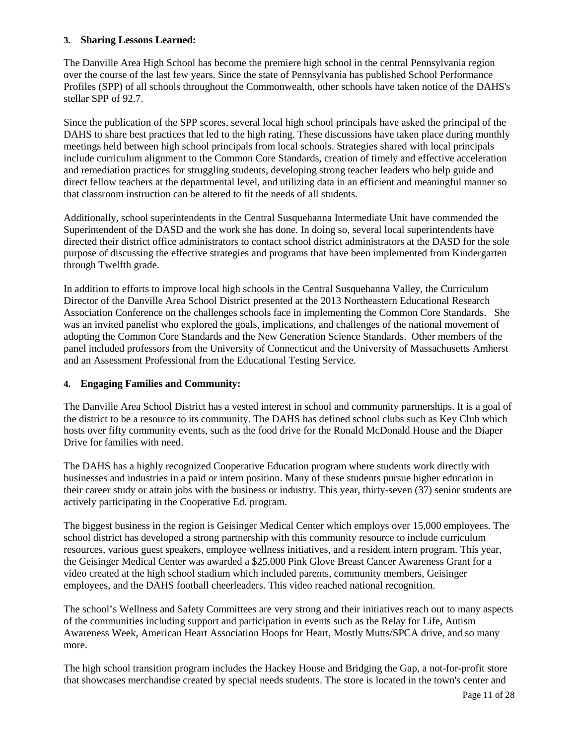#### **3. Sharing Lessons Learned:**

The Danville Area High School has become the premiere high school in the central Pennsylvania region over the course of the last few years. Since the state of Pennsylvania has published School Performance Profiles (SPP) of all schools throughout the Commonwealth, other schools have taken notice of the DAHS's stellar SPP of 92.7.

Since the publication of the SPP scores, several local high school principals have asked the principal of the DAHS to share best practices that led to the high rating. These discussions have taken place during monthly meetings held between high school principals from local schools. Strategies shared with local principals include curriculum alignment to the Common Core Standards, creation of timely and effective acceleration and remediation practices for struggling students, developing strong teacher leaders who help guide and direct fellow teachers at the departmental level, and utilizing data in an efficient and meaningful manner so that classroom instruction can be altered to fit the needs of all students.

Additionally, school superintendents in the Central Susquehanna Intermediate Unit have commended the Superintendent of the DASD and the work she has done. In doing so, several local superintendents have directed their district office administrators to contact school district administrators at the DASD for the sole purpose of discussing the effective strategies and programs that have been implemented from Kindergarten through Twelfth grade.

In addition to efforts to improve local high schools in the Central Susquehanna Valley, the Curriculum Director of the Danville Area School District presented at the 2013 Northeastern Educational Research Association Conference on the challenges schools face in implementing the Common Core Standards. She was an invited panelist who explored the goals, implications, and challenges of the national movement of adopting the Common Core Standards and the New Generation Science Standards. Other members of the panel included professors from the University of Connecticut and the University of Massachusetts Amherst and an Assessment Professional from the Educational Testing Service.

#### **4. Engaging Families and Community:**

The Danville Area School District has a vested interest in school and community partnerships. It is a goal of the district to be a resource to its community. The DAHS has defined school clubs such as Key Club which hosts over fifty community events, such as the food drive for the Ronald McDonald House and the Diaper Drive for families with need.

The DAHS has a highly recognized Cooperative Education program where students work directly with businesses and industries in a paid or intern position. Many of these students pursue higher education in their career study or attain jobs with the business or industry. This year, thirty-seven (37) senior students are actively participating in the Cooperative Ed. program.

The biggest business in the region is Geisinger Medical Center which employs over 15,000 employees. The school district has developed a strong partnership with this community resource to include curriculum resources, various guest speakers, employee wellness initiatives, and a resident intern program. This year, the Geisinger Medical Center was awarded a \$25,000 Pink Glove Breast Cancer Awareness Grant for a video created at the high school stadium which included parents, community members, Geisinger employees, and the DAHS football cheerleaders. This video reached national recognition.

The school's Wellness and Safety Committees are very strong and their initiatives reach out to many aspects of the communities including support and participation in events such as the Relay for Life, Autism Awareness Week, American Heart Association Hoops for Heart, Mostly Mutts/SPCA drive, and so many more.

The high school transition program includes the Hackey House and Bridging the Gap, a not-for-profit store that showcases merchandise created by special needs students. The store is located in the town's center and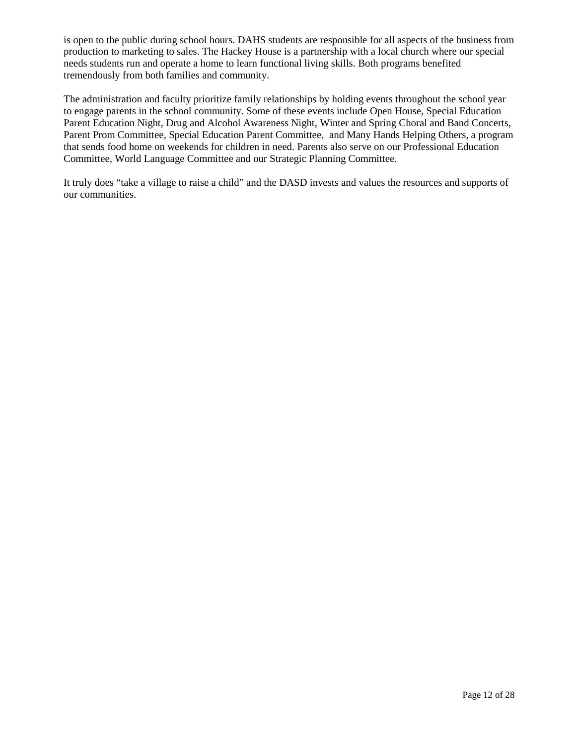is open to the public during school hours. DAHS students are responsible for all aspects of the business from production to marketing to sales. The Hackey House is a partnership with a local church where our special needs students run and operate a home to learn functional living skills. Both programs benefited tremendously from both families and community.

The administration and faculty prioritize family relationships by holding events throughout the school year to engage parents in the school community. Some of these events include Open House, Special Education Parent Education Night, Drug and Alcohol Awareness Night, Winter and Spring Choral and Band Concerts, Parent Prom Committee, Special Education Parent Committee, and Many Hands Helping Others, a program that sends food home on weekends for children in need. Parents also serve on our Professional Education Committee, World Language Committee and our Strategic Planning Committee.

It truly does "take a village to raise a child" and the DASD invests and values the resources and supports of our communities.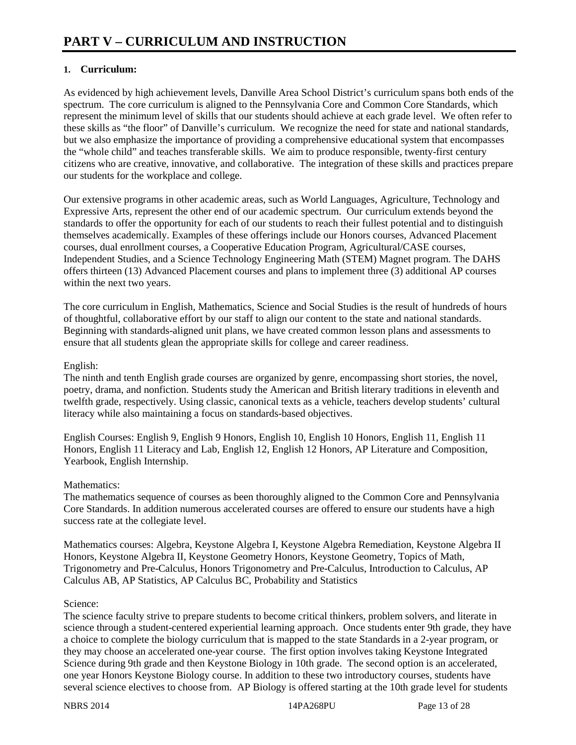### **1. Curriculum:**

As evidenced by high achievement levels, Danville Area School District's curriculum spans both ends of the spectrum. The core curriculum is aligned to the Pennsylvania Core and Common Core Standards, which represent the minimum level of skills that our students should achieve at each grade level. We often refer to these skills as "the floor" of Danville's curriculum. We recognize the need for state and national standards, but we also emphasize the importance of providing a comprehensive educational system that encompasses the "whole child" and teaches transferable skills. We aim to produce responsible, twenty-first century citizens who are creative, innovative, and collaborative. The integration of these skills and practices prepare our students for the workplace and college.

Our extensive programs in other academic areas, such as World Languages, Agriculture, Technology and Expressive Arts, represent the other end of our academic spectrum. Our curriculum extends beyond the standards to offer the opportunity for each of our students to reach their fullest potential and to distinguish themselves academically. Examples of these offerings include our Honors courses, Advanced Placement courses, dual enrollment courses, a Cooperative Education Program, Agricultural/CASE courses, Independent Studies, and a Science Technology Engineering Math (STEM) Magnet program. The DAHS offers thirteen (13) Advanced Placement courses and plans to implement three (3) additional AP courses within the next two years.

The core curriculum in English, Mathematics, Science and Social Studies is the result of hundreds of hours of thoughtful, collaborative effort by our staff to align our content to the state and national standards. Beginning with standards-aligned unit plans, we have created common lesson plans and assessments to ensure that all students glean the appropriate skills for college and career readiness.

### English:

The ninth and tenth English grade courses are organized by genre, encompassing short stories, the novel, poetry, drama, and nonfiction. Students study the American and British literary traditions in eleventh and twelfth grade, respectively. Using classic, canonical texts as a vehicle, teachers develop students' cultural literacy while also maintaining a focus on standards-based objectives.

English Courses: English 9, English 9 Honors, English 10, English 10 Honors, English 11, English 11 Honors, English 11 Literacy and Lab, English 12, English 12 Honors, AP Literature and Composition, Yearbook, English Internship.

#### Mathematics<sup>\*</sup>

The mathematics sequence of courses as been thoroughly aligned to the Common Core and Pennsylvania Core Standards. In addition numerous accelerated courses are offered to ensure our students have a high success rate at the collegiate level.

Mathematics courses: Algebra, Keystone Algebra I, Keystone Algebra Remediation, Keystone Algebra II Honors, Keystone Algebra II, Keystone Geometry Honors, Keystone Geometry, Topics of Math, Trigonometry and Pre-Calculus, Honors Trigonometry and Pre-Calculus, Introduction to Calculus, AP Calculus AB, AP Statistics, AP Calculus BC, Probability and Statistics

#### Science:

The science faculty strive to prepare students to become critical thinkers, problem solvers, and literate in science through a student-centered experiential learning approach. Once students enter 9th grade, they have a choice to complete the biology curriculum that is mapped to the state Standards in a 2-year program, or they may choose an accelerated one-year course. The first option involves taking Keystone Integrated Science during 9th grade and then Keystone Biology in 10th grade. The second option is an accelerated, one year Honors Keystone Biology course. In addition to these two introductory courses, students have several science electives to choose from. AP Biology is offered starting at the 10th grade level for students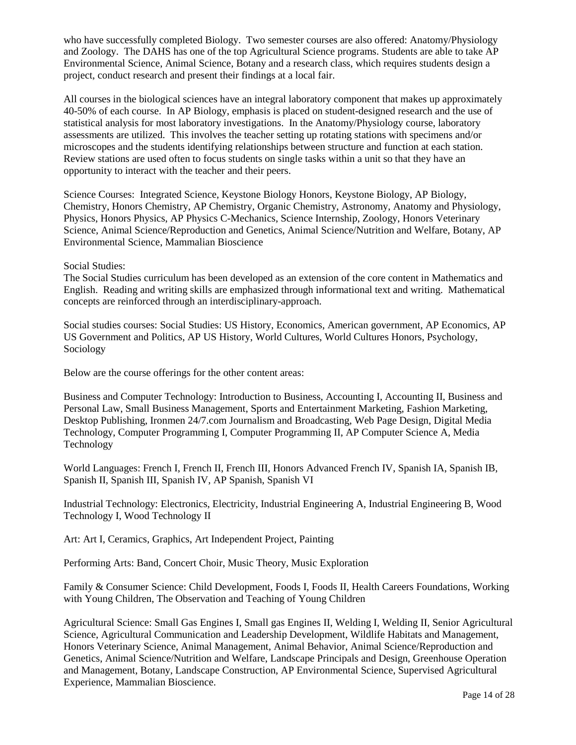who have successfully completed Biology. Two semester courses are also offered: Anatomy/Physiology and Zoology. The DAHS has one of the top Agricultural Science programs. Students are able to take AP Environmental Science, Animal Science, Botany and a research class, which requires students design a project, conduct research and present their findings at a local fair.

All courses in the biological sciences have an integral laboratory component that makes up approximately 40-50% of each course. In AP Biology, emphasis is placed on student-designed research and the use of statistical analysis for most laboratory investigations. In the Anatomy/Physiology course, laboratory assessments are utilized. This involves the teacher setting up rotating stations with specimens and/or microscopes and the students identifying relationships between structure and function at each station. Review stations are used often to focus students on single tasks within a unit so that they have an opportunity to interact with the teacher and their peers.

Science Courses: Integrated Science, Keystone Biology Honors, Keystone Biology, AP Biology, Chemistry, Honors Chemistry, AP Chemistry, Organic Chemistry, Astronomy, Anatomy and Physiology, Physics, Honors Physics, AP Physics C-Mechanics, Science Internship, Zoology, Honors Veterinary Science, Animal Science/Reproduction and Genetics, Animal Science/Nutrition and Welfare, Botany, AP Environmental Science, Mammalian Bioscience

Social Studies:

The Social Studies curriculum has been developed as an extension of the core content in Mathematics and English. Reading and writing skills are emphasized through informational text and writing. Mathematical concepts are reinforced through an interdisciplinary-approach.

Social studies courses: Social Studies: US History, Economics, American government, AP Economics, AP US Government and Politics, AP US History, World Cultures, World Cultures Honors, Psychology, Sociology

Below are the course offerings for the other content areas:

Business and Computer Technology: Introduction to Business, Accounting I, Accounting II, Business and Personal Law, Small Business Management, Sports and Entertainment Marketing, Fashion Marketing, Desktop Publishing, Ironmen 24/7.com Journalism and Broadcasting, Web Page Design, Digital Media Technology, Computer Programming I, Computer Programming II, AP Computer Science A, Media Technology

World Languages: French I, French II, French III, Honors Advanced French IV, Spanish IA, Spanish IB, Spanish II, Spanish III, Spanish IV, AP Spanish, Spanish VI

Industrial Technology: Electronics, Electricity, Industrial Engineering A, Industrial Engineering B, Wood Technology I, Wood Technology II

Art: Art I, Ceramics, Graphics, Art Independent Project, Painting

Performing Arts: Band, Concert Choir, Music Theory, Music Exploration

Family & Consumer Science: Child Development, Foods I, Foods II, Health Careers Foundations, Working with Young Children, The Observation and Teaching of Young Children

Agricultural Science: Small Gas Engines I, Small gas Engines II, Welding I, Welding II, Senior Agricultural Science, Agricultural Communication and Leadership Development, Wildlife Habitats and Management, Honors Veterinary Science, Animal Management, Animal Behavior, Animal Science/Reproduction and Genetics, Animal Science/Nutrition and Welfare, Landscape Principals and Design, Greenhouse Operation and Management, Botany, Landscape Construction, AP Environmental Science, Supervised Agricultural Experience, Mammalian Bioscience.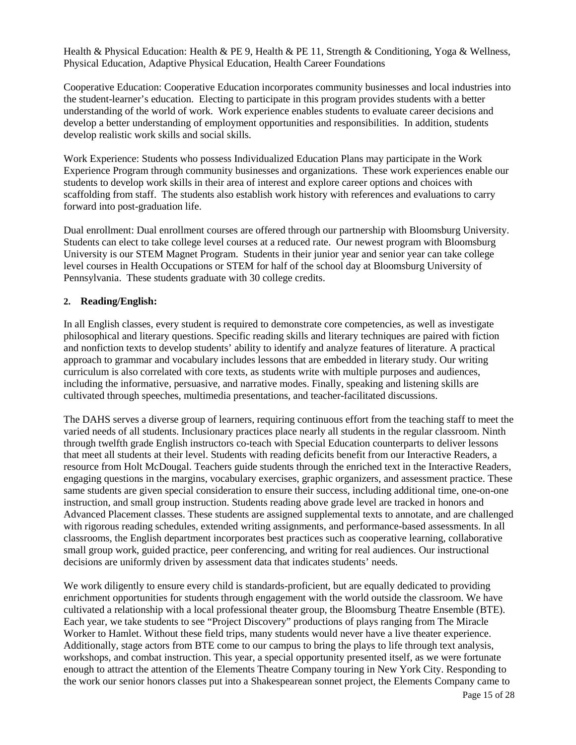Health & Physical Education: Health & PE 9, Health & PE 11, Strength & Conditioning, Yoga & Wellness, Physical Education, Adaptive Physical Education, Health Career Foundations

Cooperative Education: Cooperative Education incorporates community businesses and local industries into the student-learner's education. Electing to participate in this program provides students with a better understanding of the world of work. Work experience enables students to evaluate career decisions and develop a better understanding of employment opportunities and responsibilities. In addition, students develop realistic work skills and social skills.

Work Experience: Students who possess Individualized Education Plans may participate in the Work Experience Program through community businesses and organizations. These work experiences enable our students to develop work skills in their area of interest and explore career options and choices with scaffolding from staff. The students also establish work history with references and evaluations to carry forward into post-graduation life.

Dual enrollment: Dual enrollment courses are offered through our partnership with Bloomsburg University. Students can elect to take college level courses at a reduced rate. Our newest program with Bloomsburg University is our STEM Magnet Program. Students in their junior year and senior year can take college level courses in Health Occupations or STEM for half of the school day at Bloomsburg University of Pennsylvania. These students graduate with 30 college credits.

#### **2. Reading/English:**

In all English classes, every student is required to demonstrate core competencies, as well as investigate philosophical and literary questions. Specific reading skills and literary techniques are paired with fiction and nonfiction texts to develop students' ability to identify and analyze features of literature. A practical approach to grammar and vocabulary includes lessons that are embedded in literary study. Our writing curriculum is also correlated with core texts, as students write with multiple purposes and audiences, including the informative, persuasive, and narrative modes. Finally, speaking and listening skills are cultivated through speeches, multimedia presentations, and teacher-facilitated discussions.

The DAHS serves a diverse group of learners, requiring continuous effort from the teaching staff to meet the varied needs of all students. Inclusionary practices place nearly all students in the regular classroom. Ninth through twelfth grade English instructors co-teach with Special Education counterparts to deliver lessons that meet all students at their level. Students with reading deficits benefit from our Interactive Readers, a resource from Holt McDougal. Teachers guide students through the enriched text in the Interactive Readers, engaging questions in the margins, vocabulary exercises, graphic organizers, and assessment practice. These same students are given special consideration to ensure their success, including additional time, one-on-one instruction, and small group instruction. Students reading above grade level are tracked in honors and Advanced Placement classes. These students are assigned supplemental texts to annotate, and are challenged with rigorous reading schedules, extended writing assignments, and performance-based assessments. In all classrooms, the English department incorporates best practices such as cooperative learning, collaborative small group work, guided practice, peer conferencing, and writing for real audiences. Our instructional decisions are uniformly driven by assessment data that indicates students' needs.

We work diligently to ensure every child is standards-proficient, but are equally dedicated to providing enrichment opportunities for students through engagement with the world outside the classroom. We have cultivated a relationship with a local professional theater group, the Bloomsburg Theatre Ensemble (BTE). Each year, we take students to see "Project Discovery" productions of plays ranging from The Miracle Worker to Hamlet. Without these field trips, many students would never have a live theater experience. Additionally, stage actors from BTE come to our campus to bring the plays to life through text analysis, workshops, and combat instruction. This year, a special opportunity presented itself, as we were fortunate enough to attract the attention of the Elements Theatre Company touring in New York City. Responding to the work our senior honors classes put into a Shakespearean sonnet project, the Elements Company came to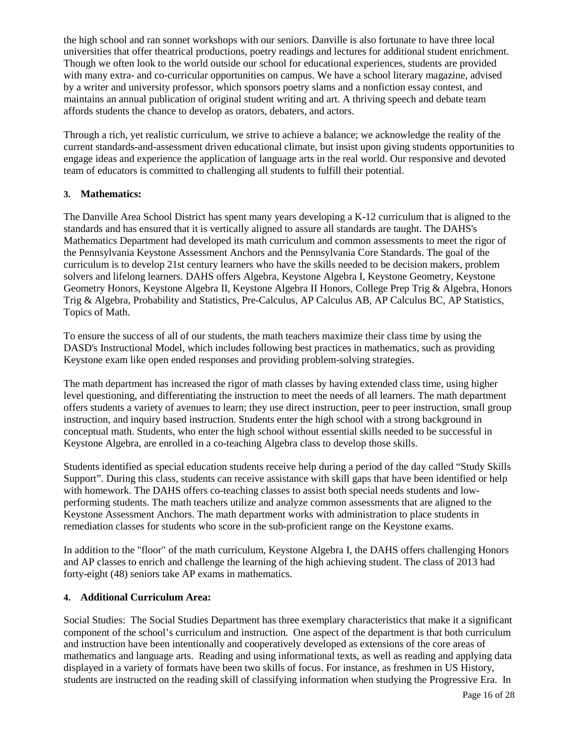the high school and ran sonnet workshops with our seniors. Danville is also fortunate to have three local universities that offer theatrical productions, poetry readings and lectures for additional student enrichment. Though we often look to the world outside our school for educational experiences, students are provided with many extra- and co-curricular opportunities on campus. We have a school literary magazine, advised by a writer and university professor, which sponsors poetry slams and a nonfiction essay contest, and maintains an annual publication of original student writing and art. A thriving speech and debate team affords students the chance to develop as orators, debaters, and actors.

Through a rich, yet realistic curriculum, we strive to achieve a balance; we acknowledge the reality of the current standards-and-assessment driven educational climate, but insist upon giving students opportunities to engage ideas and experience the application of language arts in the real world. Our responsive and devoted team of educators is committed to challenging all students to fulfill their potential.

#### **3. Mathematics:**

The Danville Area School District has spent many years developing a K-12 curriculum that is aligned to the standards and has ensured that it is vertically aligned to assure all standards are taught. The DAHS's Mathematics Department had developed its math curriculum and common assessments to meet the rigor of the Pennsylvania Keystone Assessment Anchors and the Pennsylvania Core Standards. The goal of the curriculum is to develop 21st century learners who have the skills needed to be decision makers, problem solvers and lifelong learners. DAHS offers Algebra, Keystone Algebra I, Keystone Geometry, Keystone Geometry Honors, Keystone Algebra II, Keystone Algebra II Honors, College Prep Trig & Algebra, Honors Trig & Algebra, Probability and Statistics, Pre-Calculus, AP Calculus AB, AP Calculus BC, AP Statistics, Topics of Math.

To ensure the success of all of our students, the math teachers maximize their class time by using the DASD's Instructional Model, which includes following best practices in mathematics, such as providing Keystone exam like open ended responses and providing problem-solving strategies.

The math department has increased the rigor of math classes by having extended class time, using higher level questioning, and differentiating the instruction to meet the needs of all learners. The math department offers students a variety of avenues to learn; they use direct instruction, peer to peer instruction, small group instruction, and inquiry based instruction. Students enter the high school with a strong background in conceptual math. Students, who enter the high school without essential skills needed to be successful in Keystone Algebra, are enrolled in a co-teaching Algebra class to develop those skills.

Students identified as special education students receive help during a period of the day called "Study Skills Support". During this class, students can receive assistance with skill gaps that have been identified or help with homework. The DAHS offers co-teaching classes to assist both special needs students and lowperforming students. The math teachers utilize and analyze common assessments that are aligned to the Keystone Assessment Anchors. The math department works with administration to place students in remediation classes for students who score in the sub-proficient range on the Keystone exams.

In addition to the "floor" of the math curriculum, Keystone Algebra I, the DAHS offers challenging Honors and AP classes to enrich and challenge the learning of the high achieving student. The class of 2013 had forty-eight (48) seniors take AP exams in mathematics.

#### **4. Additional Curriculum Area:**

Social Studies: The Social Studies Department has three exemplary characteristics that make it a significant component of the school's curriculum and instruction. One aspect of the department is that both curriculum and instruction have been intentionally and cooperatively developed as extensions of the core areas of mathematics and language arts. Reading and using informational texts, as well as reading and applying data displayed in a variety of formats have been two skills of focus. For instance, as freshmen in US History, students are instructed on the reading skill of classifying information when studying the Progressive Era. In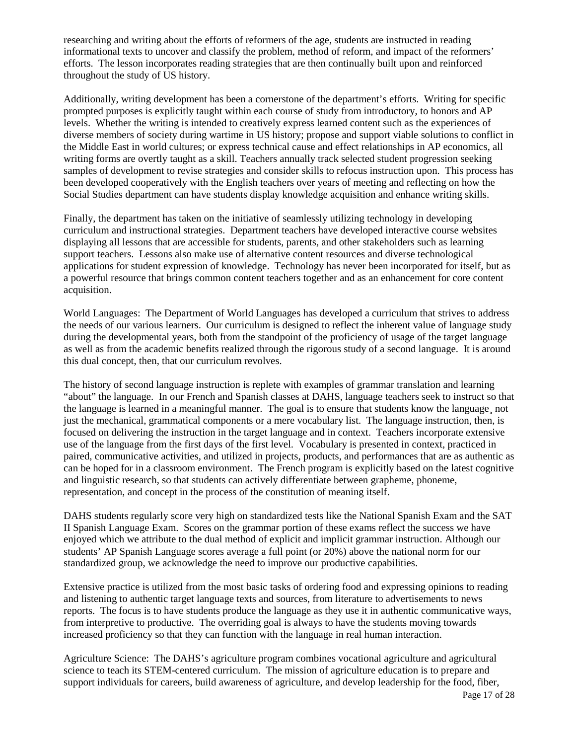researching and writing about the efforts of reformers of the age, students are instructed in reading informational texts to uncover and classify the problem, method of reform, and impact of the reformers' efforts. The lesson incorporates reading strategies that are then continually built upon and reinforced throughout the study of US history.

Additionally, writing development has been a cornerstone of the department's efforts. Writing for specific prompted purposes is explicitly taught within each course of study from introductory, to honors and AP levels. Whether the writing is intended to creatively express learned content such as the experiences of diverse members of society during wartime in US history; propose and support viable solutions to conflict in the Middle East in world cultures; or express technical cause and effect relationships in AP economics, all writing forms are overtly taught as a skill. Teachers annually track selected student progression seeking samples of development to revise strategies and consider skills to refocus instruction upon. This process has been developed cooperatively with the English teachers over years of meeting and reflecting on how the Social Studies department can have students display knowledge acquisition and enhance writing skills.

Finally, the department has taken on the initiative of seamlessly utilizing technology in developing curriculum and instructional strategies. Department teachers have developed interactive course websites displaying all lessons that are accessible for students, parents, and other stakeholders such as learning support teachers. Lessons also make use of alternative content resources and diverse technological applications for student expression of knowledge. Technology has never been incorporated for itself, but as a powerful resource that brings common content teachers together and as an enhancement for core content acquisition.

World Languages: The Department of World Languages has developed a curriculum that strives to address the needs of our various learners. Our curriculum is designed to reflect the inherent value of language study during the developmental years, both from the standpoint of the proficiency of usage of the target language as well as from the academic benefits realized through the rigorous study of a second language. It is around this dual concept, then, that our curriculum revolves.

The history of second language instruction is replete with examples of grammar translation and learning "about" the language. In our French and Spanish classes at DAHS, language teachers seek to instruct so that the language is learned in a meaningful manner. The goal is to ensure that students know the language¸ not just the mechanical, grammatical components or a mere vocabulary list. The language instruction, then, is focused on delivering the instruction in the target language and in context. Teachers incorporate extensive use of the language from the first days of the first level. Vocabulary is presented in context, practiced in paired, communicative activities, and utilized in projects, products, and performances that are as authentic as can be hoped for in a classroom environment. The French program is explicitly based on the latest cognitive and linguistic research, so that students can actively differentiate between grapheme, phoneme, representation, and concept in the process of the constitution of meaning itself.

DAHS students regularly score very high on standardized tests like the National Spanish Exam and the SAT II Spanish Language Exam. Scores on the grammar portion of these exams reflect the success we have enjoyed which we attribute to the dual method of explicit and implicit grammar instruction. Although our students' AP Spanish Language scores average a full point (or 20%) above the national norm for our standardized group, we acknowledge the need to improve our productive capabilities.

Extensive practice is utilized from the most basic tasks of ordering food and expressing opinions to reading and listening to authentic target language texts and sources, from literature to advertisements to news reports. The focus is to have students produce the language as they use it in authentic communicative ways, from interpretive to productive. The overriding goal is always to have the students moving towards increased proficiency so that they can function with the language in real human interaction.

Agriculture Science: The DAHS's agriculture program combines vocational agriculture and agricultural science to teach its STEM-centered curriculum. The mission of agriculture education is to prepare and support individuals for careers, build awareness of agriculture, and develop leadership for the food, fiber,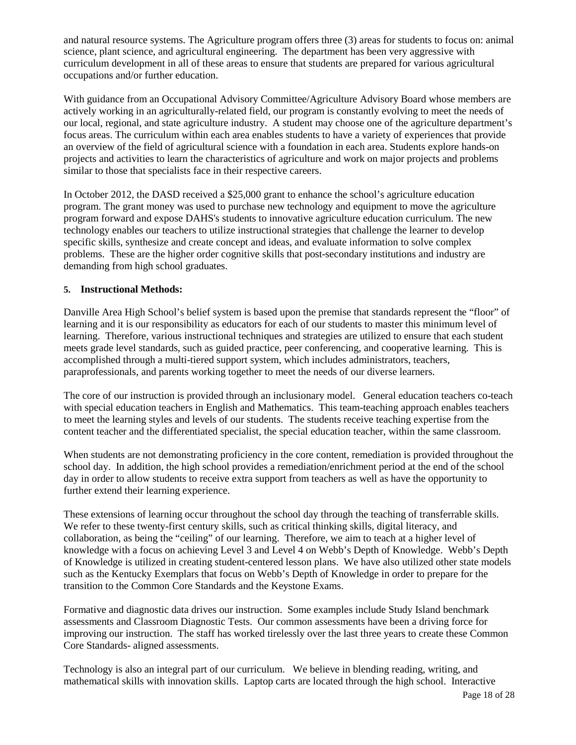and natural resource systems. The Agriculture program offers three (3) areas for students to focus on: animal science, plant science, and agricultural engineering. The department has been very aggressive with curriculum development in all of these areas to ensure that students are prepared for various agricultural occupations and/or further education.

With guidance from an Occupational Advisory Committee/Agriculture Advisory Board whose members are actively working in an agriculturally-related field, our program is constantly evolving to meet the needs of our local, regional, and state agriculture industry. A student may choose one of the agriculture department's focus areas. The curriculum within each area enables students to have a variety of experiences that provide an overview of the field of agricultural science with a foundation in each area. Students explore hands-on projects and activities to learn the characteristics of agriculture and work on major projects and problems similar to those that specialists face in their respective careers.

In October 2012, the DASD received a \$25,000 grant to enhance the school's agriculture education program. The grant money was used to purchase new technology and equipment to move the agriculture program forward and expose DAHS's students to innovative agriculture education curriculum. The new technology enables our teachers to utilize instructional strategies that challenge the learner to develop specific skills, synthesize and create concept and ideas, and evaluate information to solve complex problems. These are the higher order cognitive skills that post-secondary institutions and industry are demanding from high school graduates.

#### **5. Instructional Methods:**

Danville Area High School's belief system is based upon the premise that standards represent the "floor" of learning and it is our responsibility as educators for each of our students to master this minimum level of learning. Therefore, various instructional techniques and strategies are utilized to ensure that each student meets grade level standards, such as guided practice, peer conferencing, and cooperative learning. This is accomplished through a multi-tiered support system, which includes administrators, teachers, paraprofessionals, and parents working together to meet the needs of our diverse learners.

The core of our instruction is provided through an inclusionary model. General education teachers co-teach with special education teachers in English and Mathematics. This team-teaching approach enables teachers to meet the learning styles and levels of our students. The students receive teaching expertise from the content teacher and the differentiated specialist, the special education teacher, within the same classroom.

When students are not demonstrating proficiency in the core content, remediation is provided throughout the school day. In addition, the high school provides a remediation/enrichment period at the end of the school day in order to allow students to receive extra support from teachers as well as have the opportunity to further extend their learning experience.

These extensions of learning occur throughout the school day through the teaching of transferrable skills. We refer to these twenty-first century skills, such as critical thinking skills, digital literacy, and collaboration, as being the "ceiling" of our learning. Therefore, we aim to teach at a higher level of knowledge with a focus on achieving Level 3 and Level 4 on Webb's Depth of Knowledge. Webb's Depth of Knowledge is utilized in creating student-centered lesson plans. We have also utilized other state models such as the Kentucky Exemplars that focus on Webb's Depth of Knowledge in order to prepare for the transition to the Common Core Standards and the Keystone Exams.

Formative and diagnostic data drives our instruction. Some examples include Study Island benchmark assessments and Classroom Diagnostic Tests. Our common assessments have been a driving force for improving our instruction. The staff has worked tirelessly over the last three years to create these Common Core Standards- aligned assessments.

Technology is also an integral part of our curriculum. We believe in blending reading, writing, and mathematical skills with innovation skills. Laptop carts are located through the high school. Interactive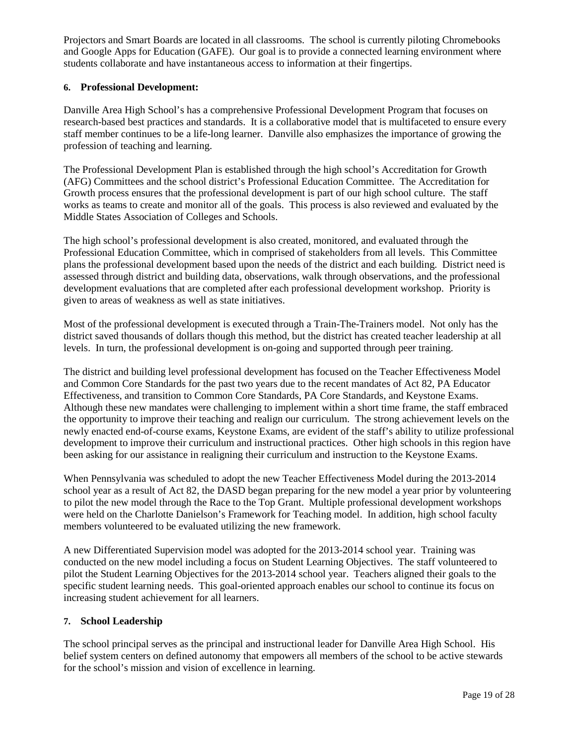Projectors and Smart Boards are located in all classrooms. The school is currently piloting Chromebooks and Google Apps for Education (GAFE). Our goal is to provide a connected learning environment where students collaborate and have instantaneous access to information at their fingertips.

#### **6. Professional Development:**

Danville Area High School's has a comprehensive Professional Development Program that focuses on research-based best practices and standards. It is a collaborative model that is multifaceted to ensure every staff member continues to be a life-long learner. Danville also emphasizes the importance of growing the profession of teaching and learning.

The Professional Development Plan is established through the high school's Accreditation for Growth (AFG) Committees and the school district's Professional Education Committee. The Accreditation for Growth process ensures that the professional development is part of our high school culture. The staff works as teams to create and monitor all of the goals. This process is also reviewed and evaluated by the Middle States Association of Colleges and Schools.

The high school's professional development is also created, monitored, and evaluated through the Professional Education Committee, which in comprised of stakeholders from all levels. This Committee plans the professional development based upon the needs of the district and each building. District need is assessed through district and building data, observations, walk through observations, and the professional development evaluations that are completed after each professional development workshop. Priority is given to areas of weakness as well as state initiatives.

Most of the professional development is executed through a Train-The-Trainers model. Not only has the district saved thousands of dollars though this method, but the district has created teacher leadership at all levels. In turn, the professional development is on-going and supported through peer training.

The district and building level professional development has focused on the Teacher Effectiveness Model and Common Core Standards for the past two years due to the recent mandates of Act 82, PA Educator Effectiveness, and transition to Common Core Standards, PA Core Standards, and Keystone Exams. Although these new mandates were challenging to implement within a short time frame, the staff embraced the opportunity to improve their teaching and realign our curriculum. The strong achievement levels on the newly enacted end-of-course exams, Keystone Exams, are evident of the staff's ability to utilize professional development to improve their curriculum and instructional practices. Other high schools in this region have been asking for our assistance in realigning their curriculum and instruction to the Keystone Exams.

When Pennsylvania was scheduled to adopt the new Teacher Effectiveness Model during the 2013-2014 school year as a result of Act 82, the DASD began preparing for the new model a year prior by volunteering to pilot the new model through the Race to the Top Grant. Multiple professional development workshops were held on the Charlotte Danielson's Framework for Teaching model. In addition, high school faculty members volunteered to be evaluated utilizing the new framework.

A new Differentiated Supervision model was adopted for the 2013-2014 school year. Training was conducted on the new model including a focus on Student Learning Objectives. The staff volunteered to pilot the Student Learning Objectives for the 2013-2014 school year. Teachers aligned their goals to the specific student learning needs. This goal-oriented approach enables our school to continue its focus on increasing student achievement for all learners.

### **7. School Leadership**

The school principal serves as the principal and instructional leader for Danville Area High School. His belief system centers on defined autonomy that empowers all members of the school to be active stewards for the school's mission and vision of excellence in learning.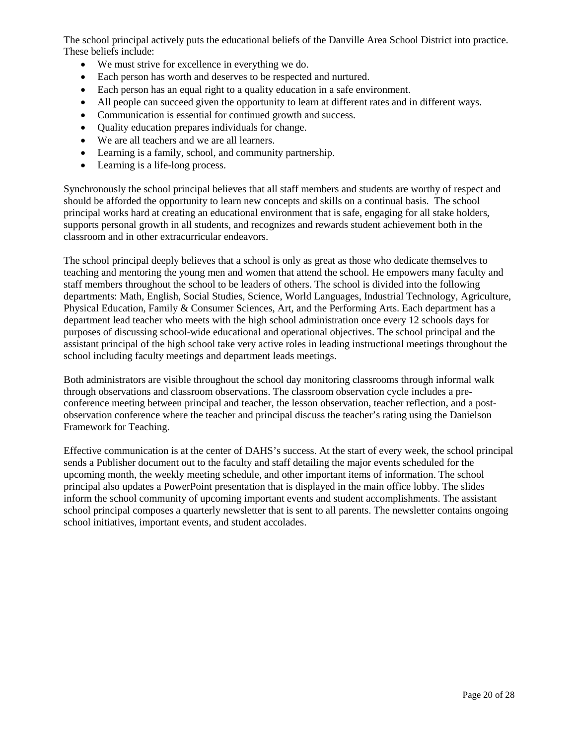The school principal actively puts the educational beliefs of the Danville Area School District into practice. These beliefs include:

- We must strive for excellence in everything we do.
- Each person has worth and deserves to be respected and nurtured.
- Each person has an equal right to a quality education in a safe environment.
- All people can succeed given the opportunity to learn at different rates and in different ways.
- Communication is essential for continued growth and success.
- Quality education prepares individuals for change.
- We are all teachers and we are all learners.
- Learning is a family, school, and community partnership.
- Learning is a life-long process.

Synchronously the school principal believes that all staff members and students are worthy of respect and should be afforded the opportunity to learn new concepts and skills on a continual basis. The school principal works hard at creating an educational environment that is safe, engaging for all stake holders, supports personal growth in all students, and recognizes and rewards student achievement both in the classroom and in other extracurricular endeavors.

The school principal deeply believes that a school is only as great as those who dedicate themselves to teaching and mentoring the young men and women that attend the school. He empowers many faculty and staff members throughout the school to be leaders of others. The school is divided into the following departments: Math, English, Social Studies, Science, World Languages, Industrial Technology, Agriculture, Physical Education, Family & Consumer Sciences, Art, and the Performing Arts. Each department has a department lead teacher who meets with the high school administration once every 12 schools days for purposes of discussing school-wide educational and operational objectives. The school principal and the assistant principal of the high school take very active roles in leading instructional meetings throughout the school including faculty meetings and department leads meetings.

Both administrators are visible throughout the school day monitoring classrooms through informal walk through observations and classroom observations. The classroom observation cycle includes a preconference meeting between principal and teacher, the lesson observation, teacher reflection, and a postobservation conference where the teacher and principal discuss the teacher's rating using the Danielson Framework for Teaching.

Effective communication is at the center of DAHS's success. At the start of every week, the school principal sends a Publisher document out to the faculty and staff detailing the major events scheduled for the upcoming month, the weekly meeting schedule, and other important items of information. The school principal also updates a PowerPoint presentation that is displayed in the main office lobby. The slides inform the school community of upcoming important events and student accomplishments. The assistant school principal composes a quarterly newsletter that is sent to all parents. The newsletter contains ongoing school initiatives, important events, and student accolades.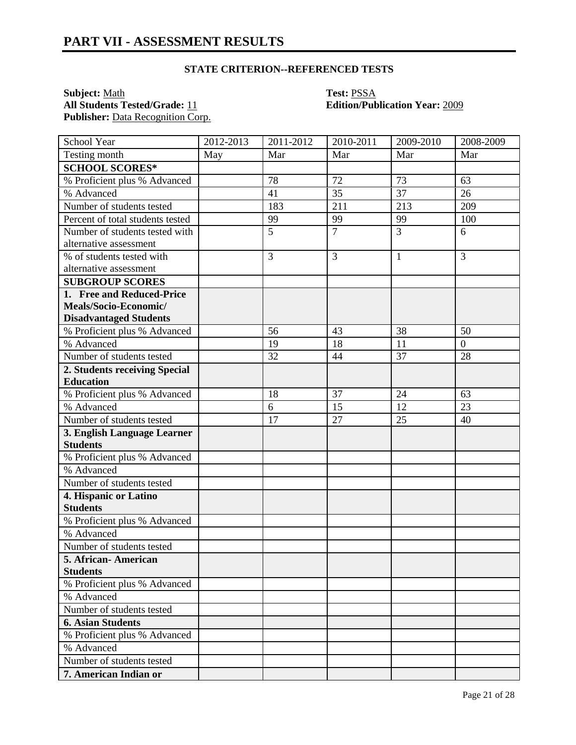### **STATE CRITERION--REFERENCED TESTS**

**Subject:** <u>Math</u> **Test:** <u>PSSA</u><br> **All Students Tested/Grade:** 11 **Containery <b>Edition**/Pub Publisher: Data Recognition Corp.

# **Edition/Publication Year: 2009**

| School Year                                    | 2012-2013 | 2011-2012      | 2010-2011      | 2009-2010      | 2008-2009      |
|------------------------------------------------|-----------|----------------|----------------|----------------|----------------|
| Testing month                                  | May       | Mar            | Mar            | Mar            | Mar            |
| <b>SCHOOL SCORES*</b>                          |           |                |                |                |                |
| % Proficient plus % Advanced                   |           | 78             | 72             | 73             | 63             |
| % Advanced                                     |           | 41             | 35             | 37             | 26             |
| Number of students tested                      |           | 183            | 211            | 213            | 209            |
| Percent of total students tested               |           | 99             | 99             | 99             | 100            |
| Number of students tested with                 |           | $\overline{5}$ | $\overline{7}$ | $\overline{3}$ | 6              |
| alternative assessment                         |           |                |                |                |                |
| % of students tested with                      |           | 3              | 3              | 1              | 3              |
| alternative assessment                         |           |                |                |                |                |
| <b>SUBGROUP SCORES</b>                         |           |                |                |                |                |
| 1. Free and Reduced-Price                      |           |                |                |                |                |
| Meals/Socio-Economic/                          |           |                |                |                |                |
| <b>Disadvantaged Students</b>                  |           |                |                |                |                |
| % Proficient plus % Advanced                   |           | 56             | 43             | 38             | 50             |
| % Advanced                                     |           | 19             | 18             | 11             | $\overline{0}$ |
| Number of students tested                      |           | 32             | 44             | 37             | 28             |
| 2. Students receiving Special                  |           |                |                |                |                |
| <b>Education</b>                               |           | 18             | 37             | 24             | 63             |
| % Proficient plus % Advanced<br>% Advanced     |           | 6              |                | 12             | 23             |
| Number of students tested                      |           | 17             | 15<br>27       | 25             | 40             |
|                                                |           |                |                |                |                |
| 3. English Language Learner<br><b>Students</b> |           |                |                |                |                |
| % Proficient plus % Advanced                   |           |                |                |                |                |
| % Advanced                                     |           |                |                |                |                |
| Number of students tested                      |           |                |                |                |                |
| 4. Hispanic or Latino                          |           |                |                |                |                |
| <b>Students</b>                                |           |                |                |                |                |
| % Proficient plus % Advanced                   |           |                |                |                |                |
| % Advanced                                     |           |                |                |                |                |
| Number of students tested                      |           |                |                |                |                |
| 5. African-American                            |           |                |                |                |                |
| <b>Students</b>                                |           |                |                |                |                |
| % Proficient plus % Advanced                   |           |                |                |                |                |
| % Advanced                                     |           |                |                |                |                |
| Number of students tested                      |           |                |                |                |                |
| <b>6. Asian Students</b>                       |           |                |                |                |                |
| % Proficient plus % Advanced                   |           |                |                |                |                |
| % Advanced                                     |           |                |                |                |                |
| Number of students tested                      |           |                |                |                |                |
| 7. American Indian or                          |           |                |                |                |                |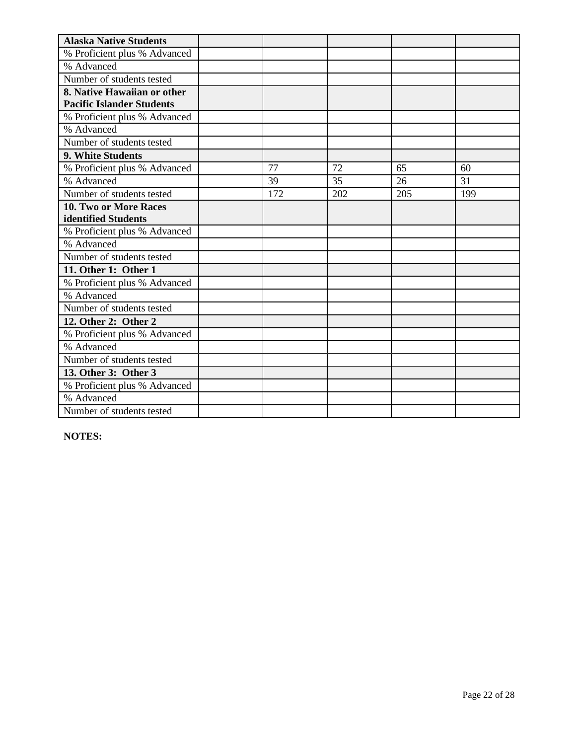| <b>Alaska Native Students</b>    |     |     |     |     |
|----------------------------------|-----|-----|-----|-----|
| % Proficient plus % Advanced     |     |     |     |     |
| % Advanced                       |     |     |     |     |
| Number of students tested        |     |     |     |     |
| 8. Native Hawaiian or other      |     |     |     |     |
| <b>Pacific Islander Students</b> |     |     |     |     |
| % Proficient plus % Advanced     |     |     |     |     |
| % Advanced                       |     |     |     |     |
| Number of students tested        |     |     |     |     |
| 9. White Students                |     |     |     |     |
| % Proficient plus % Advanced     | 77  | 72  | 65  | 60  |
| % Advanced                       | 39  | 35  | 26  | 31  |
| Number of students tested        | 172 | 202 | 205 | 199 |
| <b>10. Two or More Races</b>     |     |     |     |     |
| identified Students              |     |     |     |     |
| % Proficient plus % Advanced     |     |     |     |     |
| % Advanced                       |     |     |     |     |
| Number of students tested        |     |     |     |     |
| 11. Other 1: Other 1             |     |     |     |     |
| % Proficient plus % Advanced     |     |     |     |     |
| % Advanced                       |     |     |     |     |
| Number of students tested        |     |     |     |     |
| 12. Other 2: Other 2             |     |     |     |     |
| % Proficient plus % Advanced     |     |     |     |     |
| % Advanced                       |     |     |     |     |
| Number of students tested        |     |     |     |     |
| 13. Other 3: Other 3             |     |     |     |     |
| % Proficient plus % Advanced     |     |     |     |     |
| % Advanced                       |     |     |     |     |
| Number of students tested        |     |     |     |     |

**NOTES:**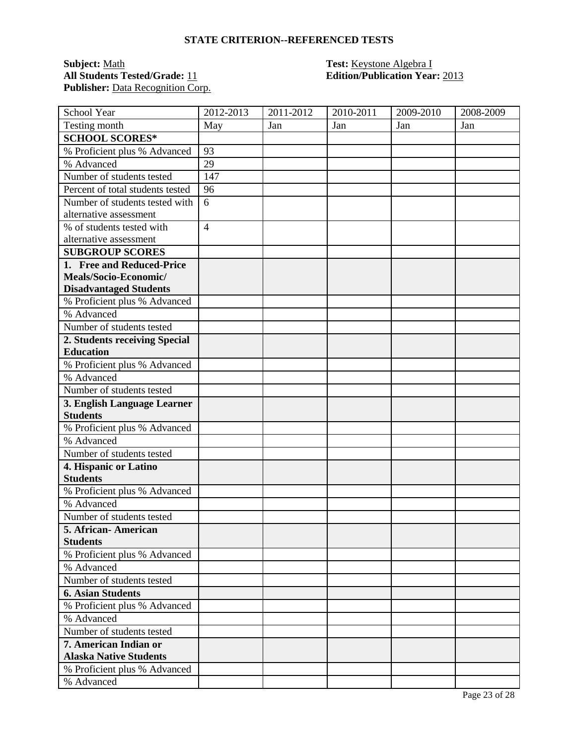### **STATE CRITERION--REFERENCED TESTS**

**Subject:** Math **Test:** Keystone Algebra I **All Students Tested/Grade:** 11 **Edition/Publication Year:** 2013 Publisher: Data Recognition Corp.

| School Year                      | 2012-2013      | 2011-2012 | 2010-2011 | 2009-2010 | 2008-2009 |
|----------------------------------|----------------|-----------|-----------|-----------|-----------|
| Testing month                    | May            | Jan       | Jan       | Jan       | Jan       |
| <b>SCHOOL SCORES*</b>            |                |           |           |           |           |
| % Proficient plus % Advanced     | 93             |           |           |           |           |
| % Advanced                       | 29             |           |           |           |           |
| Number of students tested        | 147            |           |           |           |           |
| Percent of total students tested | 96             |           |           |           |           |
| Number of students tested with   | 6              |           |           |           |           |
| alternative assessment           |                |           |           |           |           |
| % of students tested with        | $\overline{4}$ |           |           |           |           |
| alternative assessment           |                |           |           |           |           |
| <b>SUBGROUP SCORES</b>           |                |           |           |           |           |
| 1. Free and Reduced-Price        |                |           |           |           |           |
| Meals/Socio-Economic/            |                |           |           |           |           |
| <b>Disadvantaged Students</b>    |                |           |           |           |           |
| % Proficient plus % Advanced     |                |           |           |           |           |
| % Advanced                       |                |           |           |           |           |
| Number of students tested        |                |           |           |           |           |
| 2. Students receiving Special    |                |           |           |           |           |
| <b>Education</b>                 |                |           |           |           |           |
| % Proficient plus % Advanced     |                |           |           |           |           |
| % Advanced                       |                |           |           |           |           |
| Number of students tested        |                |           |           |           |           |
| 3. English Language Learner      |                |           |           |           |           |
| <b>Students</b>                  |                |           |           |           |           |
| % Proficient plus % Advanced     |                |           |           |           |           |
| % Advanced                       |                |           |           |           |           |
| Number of students tested        |                |           |           |           |           |
| 4. Hispanic or Latino            |                |           |           |           |           |
| <b>Students</b>                  |                |           |           |           |           |
| % Proficient plus % Advanced     |                |           |           |           |           |
| % Advanced                       |                |           |           |           |           |
| Number of students tested        |                |           |           |           |           |
| 5. African- American             |                |           |           |           |           |
| <b>Students</b>                  |                |           |           |           |           |
| % Proficient plus % Advanced     |                |           |           |           |           |
| % Advanced                       |                |           |           |           |           |
| Number of students tested        |                |           |           |           |           |
| <b>6. Asian Students</b>         |                |           |           |           |           |
| % Proficient plus % Advanced     |                |           |           |           |           |
| % Advanced                       |                |           |           |           |           |
| Number of students tested        |                |           |           |           |           |
| 7. American Indian or            |                |           |           |           |           |
| <b>Alaska Native Students</b>    |                |           |           |           |           |
| % Proficient plus % Advanced     |                |           |           |           |           |
| % Advanced                       |                |           |           |           |           |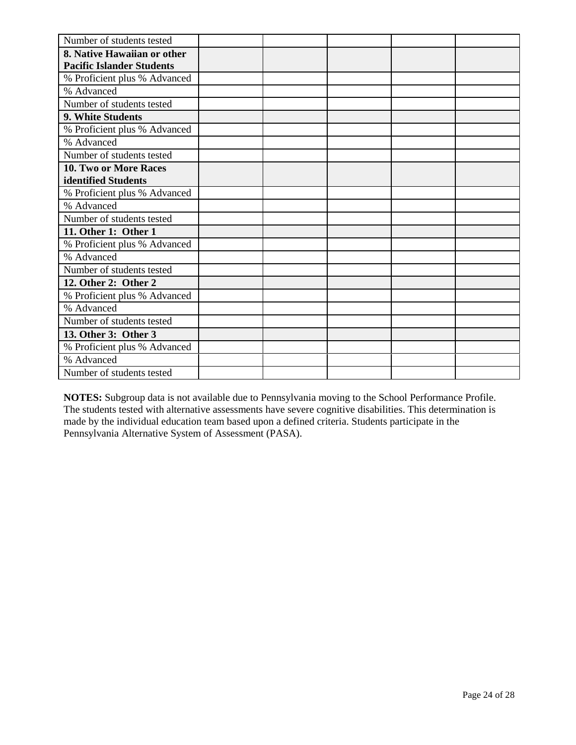| Number of students tested        |  |  |  |
|----------------------------------|--|--|--|
| 8. Native Hawaiian or other      |  |  |  |
| <b>Pacific Islander Students</b> |  |  |  |
| % Proficient plus % Advanced     |  |  |  |
| % Advanced                       |  |  |  |
| Number of students tested        |  |  |  |
| 9. White Students                |  |  |  |
| % Proficient plus % Advanced     |  |  |  |
| % Advanced                       |  |  |  |
| Number of students tested        |  |  |  |
| <b>10. Two or More Races</b>     |  |  |  |
| identified Students              |  |  |  |
| % Proficient plus % Advanced     |  |  |  |
| % Advanced                       |  |  |  |
| Number of students tested        |  |  |  |
| 11. Other 1: Other 1             |  |  |  |
| % Proficient plus % Advanced     |  |  |  |
| % Advanced                       |  |  |  |
| Number of students tested        |  |  |  |
| 12. Other 2: Other 2             |  |  |  |
| % Proficient plus % Advanced     |  |  |  |
| % Advanced                       |  |  |  |
| Number of students tested        |  |  |  |
| 13. Other 3: Other 3             |  |  |  |
| % Proficient plus % Advanced     |  |  |  |
| % Advanced                       |  |  |  |
| Number of students tested        |  |  |  |

**NOTES:** Subgroup data is not available due to Pennsylvania moving to the School Performance Profile. The students tested with alternative assessments have severe cognitive disabilities. This determination is made by the individual education team based upon a defined criteria. Students participate in the Pennsylvania Alternative System of Assessment (PASA).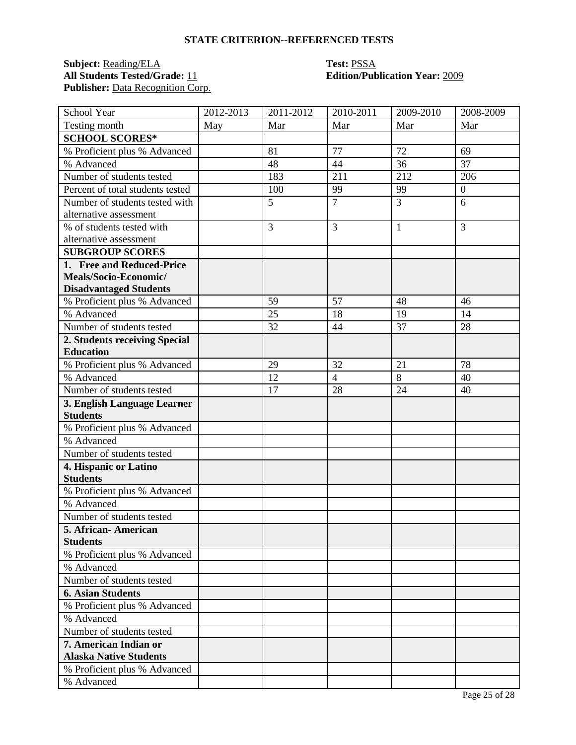### **STATE CRITERION--REFERENCED TESTS**

#### **Subject:** Reading/ELA **Test:** PSSA **All Students Tested/Grade:** 11 **Edition/Publication Year:** 2009 Publisher: Data Recognition Corp.

| School Year                                | 2012-2013 | 2011-2012 | 2010-2011      | 2009-2010      | 2008-2009        |
|--------------------------------------------|-----------|-----------|----------------|----------------|------------------|
| Testing month                              | May       | Mar       | Mar            | Mar            | Mar              |
| <b>SCHOOL SCORES*</b>                      |           |           |                |                |                  |
| % Proficient plus % Advanced               |           | 81        | 77             | 72             | 69               |
| % Advanced                                 |           | 48        | 44             | 36             | 37               |
| Number of students tested                  |           | 183       | 211            | 212            | 206              |
| Percent of total students tested           |           | 100       | 99             | 99             | $\boldsymbol{0}$ |
| Number of students tested with             |           | 5         | $\overline{7}$ | $\overline{3}$ | 6                |
| alternative assessment                     |           |           |                |                |                  |
| % of students tested with                  |           | 3         | 3              | $\mathbf{1}$   | 3                |
| alternative assessment                     |           |           |                |                |                  |
| <b>SUBGROUP SCORES</b>                     |           |           |                |                |                  |
| 1. Free and Reduced-Price                  |           |           |                |                |                  |
| Meals/Socio-Economic/                      |           |           |                |                |                  |
| <b>Disadvantaged Students</b>              |           |           |                |                |                  |
| % Proficient plus % Advanced               |           | 59        | 57             | 48             | 46               |
| % Advanced                                 |           | 25        | 18             | 19             | 14               |
| Number of students tested                  |           | 32        | 44             | 37             | 28               |
| 2. Students receiving Special              |           |           |                |                |                  |
| <b>Education</b>                           |           |           |                |                |                  |
| % Proficient plus % Advanced               |           | 29        | 32             | 21             | 78               |
| % Advanced                                 |           | 12        | $\overline{4}$ | $\overline{8}$ | 40               |
| Number of students tested                  |           | 17        | 28             | 24             | 40               |
| 3. English Language Learner                |           |           |                |                |                  |
| <b>Students</b>                            |           |           |                |                |                  |
| % Proficient plus % Advanced               |           |           |                |                |                  |
| % Advanced                                 |           |           |                |                |                  |
| Number of students tested                  |           |           |                |                |                  |
| 4. Hispanic or Latino                      |           |           |                |                |                  |
| <b>Students</b>                            |           |           |                |                |                  |
| % Proficient plus % Advanced<br>% Advanced |           |           |                |                |                  |
|                                            |           |           |                |                |                  |
| Number of students tested                  |           |           |                |                |                  |
| 5. African - American<br><b>Students</b>   |           |           |                |                |                  |
| % Proficient plus % Advanced               |           |           |                |                |                  |
| % Advanced                                 |           |           |                |                |                  |
| Number of students tested                  |           |           |                |                |                  |
| <b>6. Asian Students</b>                   |           |           |                |                |                  |
|                                            |           |           |                |                |                  |
| % Proficient plus % Advanced<br>% Advanced |           |           |                |                |                  |
| Number of students tested                  |           |           |                |                |                  |
| 7. American Indian or                      |           |           |                |                |                  |
| <b>Alaska Native Students</b>              |           |           |                |                |                  |
| % Proficient plus % Advanced               |           |           |                |                |                  |
| % Advanced                                 |           |           |                |                |                  |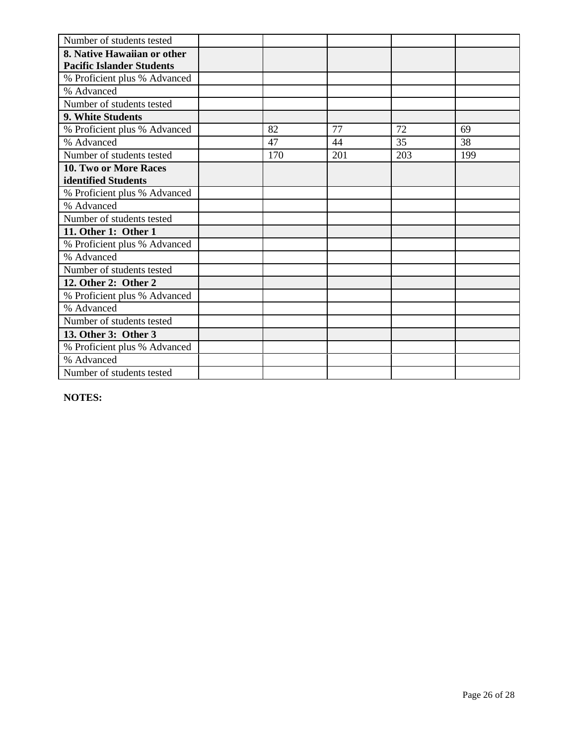| Number of students tested        |     |     |     |     |
|----------------------------------|-----|-----|-----|-----|
| 8. Native Hawaiian or other      |     |     |     |     |
| <b>Pacific Islander Students</b> |     |     |     |     |
| % Proficient plus % Advanced     |     |     |     |     |
| % Advanced                       |     |     |     |     |
| Number of students tested        |     |     |     |     |
| <b>9. White Students</b>         |     |     |     |     |
| % Proficient plus % Advanced     | 82  | 77  | 72  | 69  |
| % Advanced                       | 47  | 44  | 35  | 38  |
| Number of students tested        | 170 | 201 | 203 | 199 |
| 10. Two or More Races            |     |     |     |     |
| identified Students              |     |     |     |     |
| % Proficient plus % Advanced     |     |     |     |     |
| % Advanced                       |     |     |     |     |
| Number of students tested        |     |     |     |     |
| 11. Other 1: Other 1             |     |     |     |     |
| % Proficient plus % Advanced     |     |     |     |     |
| % Advanced                       |     |     |     |     |
| Number of students tested        |     |     |     |     |
| 12. Other 2: Other 2             |     |     |     |     |
| % Proficient plus % Advanced     |     |     |     |     |
| % Advanced                       |     |     |     |     |
| Number of students tested        |     |     |     |     |
| 13. Other 3: Other 3             |     |     |     |     |
| % Proficient plus % Advanced     |     |     |     |     |
| % Advanced                       |     |     |     |     |
| Number of students tested        |     |     |     |     |

**NOTES:**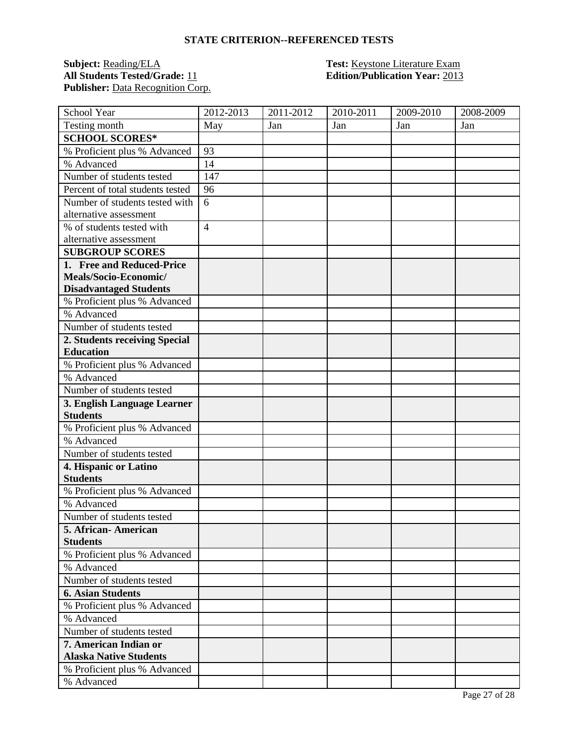#### **STATE CRITERION--REFERENCED TESTS**

#### **Subject:** <u>Reading/ELA</u> **Test:** <u>Keystone Literature Exam</u> **All Students Tested/Grade:** 11 **Edition/Publication Year:** 2013 Publisher: Data Recognition Corp.

| School Year                      | 2012-2013      | 2011-2012 | 2010-2011 | 2009-2010 | 2008-2009 |
|----------------------------------|----------------|-----------|-----------|-----------|-----------|
| Testing month                    | May            | Jan       | Jan       | Jan       | Jan       |
| <b>SCHOOL SCORES*</b>            |                |           |           |           |           |
| % Proficient plus % Advanced     | 93             |           |           |           |           |
| % Advanced                       | 14             |           |           |           |           |
| Number of students tested        | 147            |           |           |           |           |
| Percent of total students tested | 96             |           |           |           |           |
| Number of students tested with   | 6              |           |           |           |           |
| alternative assessment           |                |           |           |           |           |
| % of students tested with        | $\overline{4}$ |           |           |           |           |
| alternative assessment           |                |           |           |           |           |
| <b>SUBGROUP SCORES</b>           |                |           |           |           |           |
| 1. Free and Reduced-Price        |                |           |           |           |           |
| Meals/Socio-Economic/            |                |           |           |           |           |
| <b>Disadvantaged Students</b>    |                |           |           |           |           |
| % Proficient plus % Advanced     |                |           |           |           |           |
| % Advanced                       |                |           |           |           |           |
| Number of students tested        |                |           |           |           |           |
| 2. Students receiving Special    |                |           |           |           |           |
| <b>Education</b>                 |                |           |           |           |           |
| % Proficient plus % Advanced     |                |           |           |           |           |
| % Advanced                       |                |           |           |           |           |
| Number of students tested        |                |           |           |           |           |
| 3. English Language Learner      |                |           |           |           |           |
| <b>Students</b>                  |                |           |           |           |           |
| % Proficient plus % Advanced     |                |           |           |           |           |
| % Advanced                       |                |           |           |           |           |
| Number of students tested        |                |           |           |           |           |
| 4. Hispanic or Latino            |                |           |           |           |           |
| <b>Students</b>                  |                |           |           |           |           |
| % Proficient plus % Advanced     |                |           |           |           |           |
| % Advanced                       |                |           |           |           |           |
| Number of students tested        |                |           |           |           |           |
| 5. African- American             |                |           |           |           |           |
| <b>Students</b>                  |                |           |           |           |           |
| % Proficient plus % Advanced     |                |           |           |           |           |
| % Advanced                       |                |           |           |           |           |
| Number of students tested        |                |           |           |           |           |
| <b>6. Asian Students</b>         |                |           |           |           |           |
| % Proficient plus % Advanced     |                |           |           |           |           |
| % Advanced                       |                |           |           |           |           |
| Number of students tested        |                |           |           |           |           |
| 7. American Indian or            |                |           |           |           |           |
| <b>Alaska Native Students</b>    |                |           |           |           |           |
| % Proficient plus % Advanced     |                |           |           |           |           |
| % Advanced                       |                |           |           |           |           |